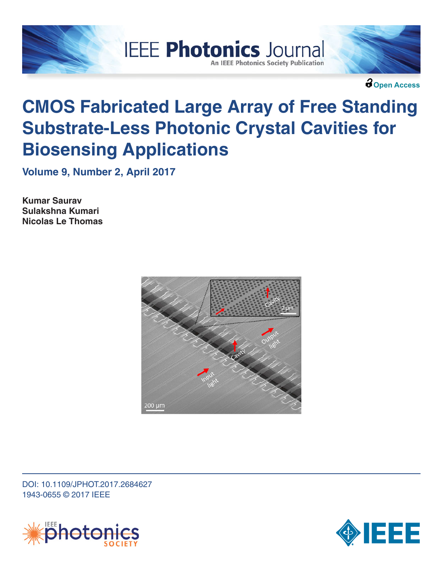



**Open Access**

# **CMOS Fabricated Large Array of Free Standing Substrate-Less Photonic Crystal Cavities for Biosensing Applications**

**IEEE Photonics Journal** 

**An IEEE Photonics Society Publication** 

**Volume 9, Number 2, April 2017**

**Kumar Saurav Sulakshna Kumari Nicolas Le Thomas**



DOI: 10.1109/JPHOT.2017.2684627 1943-0655 © 2017 IEEE



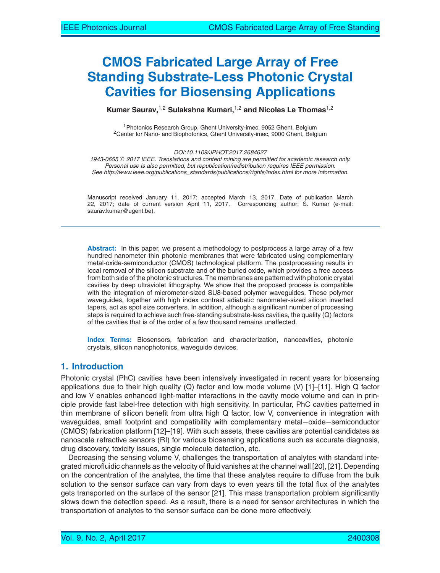# **CMOS Fabricated Large Array of Free Standing Substrate-Less Photonic Crystal Cavities for Biosensing Applications**

**Kumar Saurav,**1,2 **Sulakshna Kumari,**1,2 **and Nicolas Le Thomas**1,2

1Photonics Research Group, Ghent University-imec, 9052 Ghent, Belgium 2Center for Nano- and Biophotonics, Ghent University-imec, 9000 Ghent, Belgium

*DOI:10.1109/JPHOT.2017.2684627*

1943-0655 © 2017 IEEE. Translations and content mining are permitted for academic research only. *Personal use is also permitted, but republication/redistribution requires IEEE permission. See http://www.ieee.org/publications\_standards/publications/rights/index.html for more information.*

Manuscript received January 11, 2017; accepted March 13, 2017. Date of publication March 22, 2017; date of current version April 11, 2017. Corresponding author: S. Kumar (e-mail: saurav.kumar@ugent.be).

**Abstract:** In this paper, we present a methodology to postprocess a large array of a few hundred nanometer thin photonic membranes that were fabricated using complementary metal-oxide-semiconductor (CMOS) technological platform. The postprocessing results in local removal of the silicon substrate and of the buried oxide, which provides a free access from both side of the photonic structures. The membranes are patterned with photonic crystal cavities by deep ultraviolet lithography. We show that the proposed process is compatible with the integration of micrometer-sized SU8-based polymer waveguides. These polymer waveguides, together with high index contrast adiabatic nanometer-sized silicon inverted tapers, act as spot size converters. In addition, although a significant number of processing steps is required to achieve such free-standing substrate-less cavities, the quality (Q) factors of the cavities that is of the order of a few thousand remains unaffected.

**Index Terms:** Biosensors, fabrication and characterization, nanocavities, photonic crystals, silicon nanophotonics, waveguide devices.

# **1. Introduction**

Photonic crystal (PhC) cavities have been intensively investigated in recent years for biosensing applications due to their high quality  $(Q)$  factor and low mode volume  $(V)$  [1]–[11]. High  $Q$  factor and low V enables enhanced light-matter interactions in the cavity mode volume and can in principle provide fast label-free detection with high sensitivity. In particular, PhC cavities patterned in thin membrane of silicon benefit from ultra high Q factor, low V, convenience in integration with waveguides, small footprint and compatibility with complementary metal−oxide−semiconductor (CMOS) fabrication platform [12]–[19]. With such assets, these cavities are potential candidates as nanoscale refractive sensors (RI) for various biosensing applications such as accurate diagnosis, drug discovery, toxicity issues, single molecule detection, etc.

Decreasing the sensing volume V, challenges the transportation of analytes with standard integrated microfluidic channels as the velocity of fluid vanishes at the channel wall [20], [21]. Depending on the concentration of the analytes, the time that these analytes require to diffuse from the bulk solution to the sensor surface can vary from days to even years till the total flux of the analytes gets transported on the surface of the sensor [21]. This mass transportation problem significantly slows down the detection speed. As a result, there is a need for sensor architectures in which the transportation of analytes to the sensor surface can be done more effectively.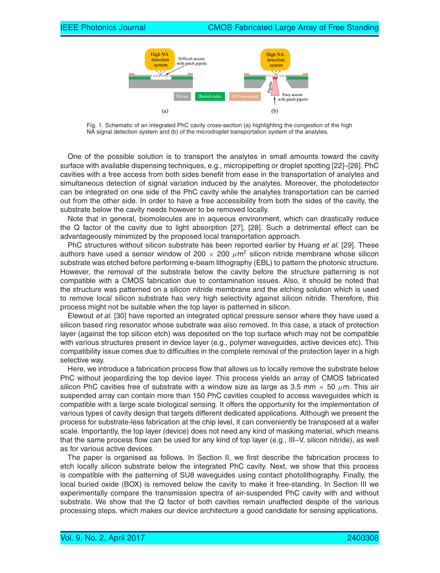

Fig. 1. Schematic of an integrated PhC cavity cross-section (a) highlighting the congestion of the high NA signal detection system and (b) of the microdroplet transportation system of the analytes.

One of the possible solution is to transport the analytes in small amounts toward the cavity surface with available dispensing techniques, e.g., micropipetting or droplet spotting [22]–[26]. PhC cavities with a free access from both sides benefit from ease in the transportation of analytes and simultaneous detection of signal variation induced by the analytes. Moreover, the photodetector can be integrated on one side of the PhC cavity while the analytes transportation can be carried out from the other side. In order to have a free accessibility from both the sides of the cavity, the substrate below the cavity needs however to be removed locally.

Note that in general, biomolecules are in aqueous environment, which can drastically reduce the Q factor of the cavity due to light absorption [27], [28]. Such a detrimental effect can be advantageously minimized by the proposed local transportation approach.

PhC structures without silicon substrate has been reported earlier by Huang *et al.* [29]. These authors have used a sensor window of 200  $\times$  200  $\mu$ m<sup>2</sup> silicon nitride membrane whose silicon substrate was etched before performing e-beam lithography (EBL) to pattern the photonic structure. However, the removal of the substrate below the cavity before the structure patterning is not compatible with a CMOS fabrication due to contamination issues. Also, it should be noted that the structure was patterned on a silicon nitride membrane and the etching solution which is used to remove local silicon substrate has very high selectivity against silicon nitride. Therefore, this process might not be suitable when the top layer is patterned in silicon.

Elewout *et al.* [30] have reported an integrated optical pressure sensor where they have used a silicon based ring resonator whose substrate was also removed. In this case, a stack of protection layer (against the top silicon etch) was deposited on the top surface which may not be compatible with various structures present in device layer (e.g., polymer waveguides, active devices etc). This compatibility issue comes due to difficulties in the complete removal of the protection layer in a high selective way.

Here, we introduce a fabrication process flow that allows us to locally remove the substrate below PhC without jeopardizing the top device layer. This process yields an array of CMOS fabricated silicon PhC cavities free of substrate with a window size as large as 3.5 mm  $\times$  50  $\mu$ m. This air suspended array can contain more than 150 PhC cavities coupled to access waveguides which is compatible with a large scale biological sensing. It offers the opportunity for the implementation of various types of cavity design that targets different dedicated applications. Although we present the process for substrate-less fabrication at the chip level, it can conveniently be transposed at a wafer scale. Importantly, the top layer (device) does not need any kind of masking material, which means that the same process flow can be used for any kind of top layer (e.g., III–V, silicon nitride), as well as for various active devices.

The paper is organised as follows. In Section II, we first describe the fabrication process to etch locally silicon substrate below the integrated PhC cavity. Next, we show that this process is compatible with the patterning of SU8 waveguides using contact photolithography. Finally, the local buried oxide (BOX) is removed below the cavity to make it free-standing. In Section III we experimentally compare the transmission spectra of air-suspended PhC cavity with and without substrate. We show that the Q factor of both cavities remain unaffected despite of the various processing steps, which makes our device architecture a good candidate for sensing applications.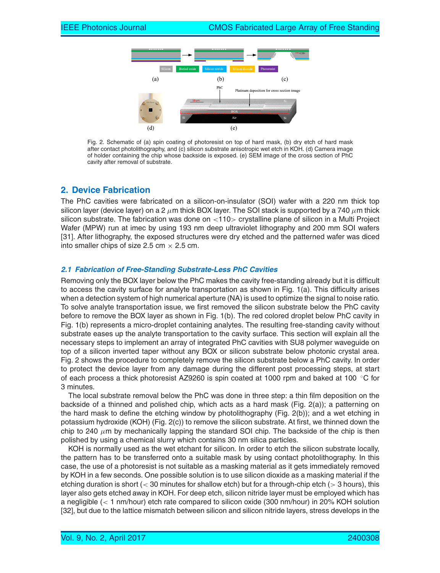

Fig. 2. Schematic of (a) spin coating of photoresist on top of hard mask, (b) dry etch of hard mask after contact photolithography, and (c) silicon substrate anisotropic wet etch in KOH. (d) Camera image of holder containing the chip whose backside is exposed. (e) SEM image of the cross section of PhC cavity after removal of substrate.

# **2. Device Fabrication**

The PhC cavities were fabricated on a silicon-on-insulator (SOI) wafer with a 220 nm thick top silicon layer (device layer) on a 2  $\mu$ m thick BOX layer. The SOI stack is supported by a 740  $\mu$ m thick silicon substrate. The fabrication was done on  $\langle 110 \rangle$  crystalline plane of silicon in a Multi Project Wafer (MPW) run at imec by using 193 nm deep ultraviolet lithography and 200 mm SOI wafers [31]. After lithography, the exposed structures were dry etched and the patterned wafer was diced into smaller chips of size 2.5 cm  $\times$  2.5 cm.

#### *2.1 Fabrication of Free-Standing Substrate-Less PhC Cavities*

Removing only the BOX layer below the PhC makes the cavity free-standing already but it is difficult to access the cavity surface for analyte transportation as shown in Fig. 1(a). This difficulty arises when a detection system of high numerical aperture (NA) is used to optimize the signal to noise ratio. To solve analyte transportation issue, we first removed the silicon substrate below the PhC cavity before to remove the BOX layer as shown in Fig. 1(b). The red colored droplet below PhC cavity in Fig. 1(b) represents a micro-droplet containing analytes. The resulting free-standing cavity without substrate eases up the analyte transportation to the cavity surface. This section will explain all the necessary steps to implement an array of integrated PhC cavities with SU8 polymer waveguide on top of a silicon inverted taper without any BOX or silicon substrate below photonic crystal area. Fig. 2 shows the procedure to completely remove the silicon substrate below a PhC cavity. In order to protect the device layer from any damage during the different post processing steps, at start of each process a thick photoresist AZ9260 is spin coated at 1000 rpm and baked at 100 ◦C for 3 minutes.

The local substrate removal below the PhC was done in three step: a thin film deposition on the backside of a thinned and polished chip, which acts as a hard mask (Fig. 2(a)); a patterning on the hard mask to define the etching window by photolithography (Fig. 2(b)); and a wet etching in potassium hydroxide (KOH) (Fig. 2(c)) to remove the silicon substrate. At first, we thinned down the chip to 240  $\mu$ m by mechanically lapping the standard SOI chip. The backside of the chip is then polished by using a chemical slurry which contains 30 nm silica particles.

KOH is normally used as the wet etchant for silicon. In order to etch the silicon substrate locally, the pattern has to be transferred onto a suitable mask by using contact photolithography. In this case, the use of a photoresist is not suitable as a masking material as it gets immediately removed by KOH in a few seconds. One possible solution is to use silicon dioxide as a masking material if the etching duration is short  $\left($  < 30 minutes for shallow etch) but for a through-chip etch  $\left($  > 3 hours), this layer also gets etched away in KOH. For deep etch, silicon nitride layer must be employed which has a negligible (< 1 nm/hour) etch rate compared to silicon oxide (300 nm/hour) in 20% KOH solution [32], but due to the lattice mismatch between silicon and silicon nitride layers, stress develops in the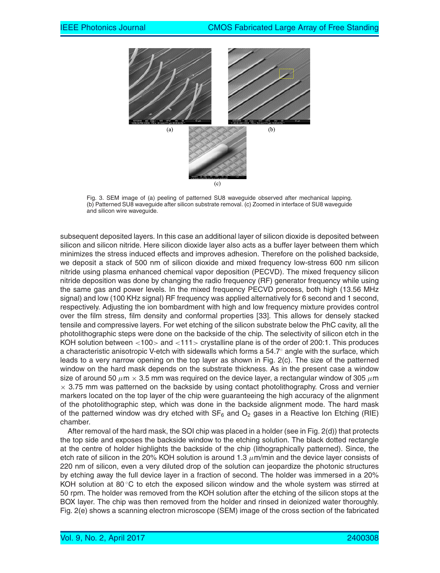

Fig. 3. SEM image of (a) peeling of patterned SU8 waveguide observed after mechanical lapping. (b) Patterned SU8 waveguide after silicon substrate removal. (c) Zoomed in interface of SU8 waveguide and silicon wire waveguide.

subsequent deposited layers. In this case an additional layer of silicon dioxide is deposited between silicon and silicon nitride. Here silicon dioxide layer also acts as a buffer layer between them which minimizes the stress induced effects and improves adhesion. Therefore on the polished backside, we deposit a stack of 500 nm of silicon dioxide and mixed frequency low-stress 600 nm silicon nitride using plasma enhanced chemical vapor deposition (PECVD). The mixed frequency silicon nitride deposition was done by changing the radio frequency (RF) generator frequency while using the same gas and power levels. In the mixed frequency PECVD process, both high (13.56 MHz signal) and low (100 KHz signal) RF frequency was applied alternatively for 6 second and 1 second, respectively. Adjusting the ion bombardment with high and low frequency mixture provides control over the film stress, film density and conformal properties [33]. This allows for densely stacked tensile and compressive layers. For wet etching of the silicon substrate below the PhC cavity, all the photolithographic steps were done on the backside of the chip. The selectivity of silicon etch in the KOH solution between <100> and <111> crystalline plane is of the order of 200:1. This produces a characteristic anisotropic V-etch with sidewalls which forms a 54.7◦ angle with the surface, which leads to a very narrow opening on the top layer as shown in Fig. 2(c). The size of the patterned window on the hard mask depends on the substrate thickness. As in the present case a window size of around 50  $\mu$ m  $\times$  3.5 mm was required on the device layer, a rectangular window of 305  $\mu$ m  $\times$  3.75 mm was patterned on the backside by using contact photolithography. Cross and vernier markers located on the top layer of the chip were guaranteeing the high accuracy of the alignment of the photolithographic step, which was done in the backside alignment mode. The hard mask of the patterned window was dry etched with  $SF_6$  and  $O_2$  gases in a Reactive Ion Etching (RIE) chamber.

After removal of the hard mask, the SOI chip was placed in a holder (see in Fig. 2(d)) that protects the top side and exposes the backside window to the etching solution. The black dotted rectangle at the centre of holder highlights the backside of the chip (lithographically patterned). Since, the etch rate of silicon in the 20% KOH solution is around 1.3  $\mu$ m/min and the device layer consists of 220 nm of silicon, even a very diluted drop of the solution can jeopardize the photonic structures by etching away the full device layer in a fraction of second. The holder was immersed in a 20% KOH solution at 80  $\degree$ C to etch the exposed silicon window and the whole system was stirred at 50 rpm. The holder was removed from the KOH solution after the etching of the silicon stops at the BOX layer. The chip was then removed from the holder and rinsed in deionized water thoroughly. Fig. 2(e) shows a scanning electron microscope (SEM) image of the cross section of the fabricated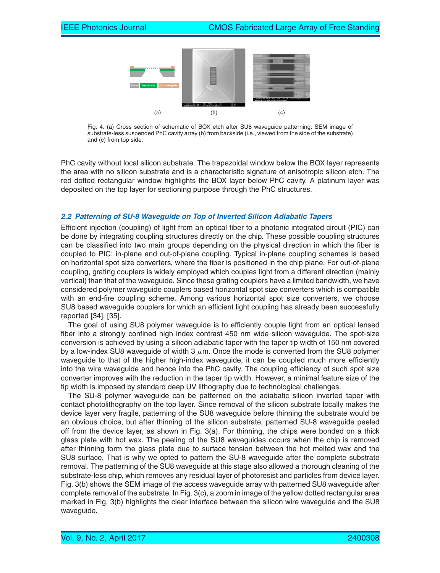

Fig. 4. (a) Cross section of schematic of BOX etch after SU8 waveguide patterning. SEM image of substrate-less suspended PhC cavity array (b) from backside (i.e., viewed from the side of the substrate) and (c) from top side.

PhC cavity without local silicon substrate. The trapezoidal window below the BOX layer represents the area with no silicon substrate and is a characteristic signature of anisotropic silicon etch. The red dotted rectangular window highlights the BOX layer below PhC cavity. A platinum layer was deposited on the top layer for sectioning purpose through the PhC structures.

#### *2.2 Patterning of SU-8 Waveguide on Top of Inverted Silicon Adiabatic Tapers*

Efficient injection (coupling) of light from an optical fiber to a photonic integrated circuit (PIC) can be done by integrating coupling structures directly on the chip. These possible coupling structures can be classified into two main groups depending on the physical direction in which the fiber is coupled to PIC: in-plane and out-of-plane coupling. Typical in-plane coupling schemes is based on horizontal spot size converters, where the fiber is positioned in the chip plane. For out-of-plane coupling, grating couplers is widely employed which couples light from a different direction (mainly vertical) than that of the waveguide. Since these grating couplers have a limited bandwidth, we have considered polymer waveguide couplers based horizontal spot size converters which is compatible with an end-fire coupling scheme. Among various horizontal spot size converters, we choose SU8 based waveguide couplers for which an efficient light coupling has already been successfully reported [34], [35].

The goal of using SU8 polymer waveguide is to efficiently couple light from an optical lensed fiber into a strongly confined high index contrast 450 nm wide silicon waveguide. The spot-size conversion is achieved by using a silicon adiabatic taper with the taper tip width of 150 nm covered by a low-index SU8 waveguide of width 3  $\mu$ m. Once the mode is converted from the SU8 polymer waveguide to that of the higher high-index waveguide, it can be coupled much more efficiently into the wire waveguide and hence into the PhC cavity. The coupling efficiency of such spot size converter improves with the reduction in the taper tip width. However, a minimal feature size of the tip width is imposed by standard deep UV lithography due to technological challenges.

The SU-8 polymer waveguide can be patterned on the adiabatic silicon inverted taper with contact photolithography on the top layer. Since removal of the silicon substrate locally makes the device layer very fragile, patterning of the SU8 waveguide before thinning the substrate would be an obvious choice, but after thinning of the silicon substrate, patterned SU-8 waveguide peeled off from the device layer, as shown in Fig. 3(a). For thinning, the chips were bonded on a thick glass plate with hot wax. The peeling of the SU8 waveguides occurs when the chip is removed after thinning form the glass plate due to surface tension between the hot melted wax and the SU8 surface. That is why we opted to pattern the SU-8 waveguide after the complete substrate removal. The patterning of the SU8 waveguide at this stage also allowed a thorough cleaning of the substrate-less chip, which removes any residual layer of photoresist and particles from device layer. Fig. 3(b) shows the SEM image of the access waveguide array with patterned SU8 waveguide after complete removal of the substrate. In Fig. 3(c), a zoom in image of the yellow dotted rectangular area marked in Fig. 3(b) highlights the clear interface between the silicon wire waveguide and the SU8 waveguide.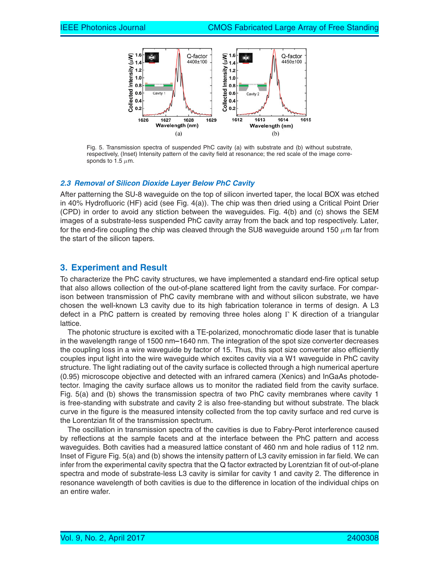

Fig. 5. Transmission spectra of suspended PhC cavity (a) with substrate and (b) without substrate, respectively, (Inset) Intensity pattern of the cavity field at resonance; the red scale of the image corresponds to 1.5  $\mu$ m.

#### *2.3 Removal of Silicon Dioxide Layer Below PhC Cavity*

After patterning the SU-8 waveguide on the top of silicon inverted taper, the local BOX was etched in 40% Hydrofluoric (HF) acid (see Fig. 4(a)). The chip was then dried using a Critical Point Drier (CPD) in order to avoid any stiction between the waveguides. Fig. 4(b) and (c) shows the SEM images of a substrate-less suspended PhC cavity array from the back and top respectively. Later, for the end-fire coupling the chip was cleaved through the SU8 waveguide around 150  $\mu$ m far from the start of the silicon tapers.

### **3. Experiment and Result**

To characterize the PhC cavity structures, we have implemented a standard end-fire optical setup that also allows collection of the out-of-plane scattered light from the cavity surface. For comparison between transmission of PhC cavity membrane with and without silicon substrate, we have chosen the well-known L3 cavity due to its high fabrication tolerance in terms of design. A L3 defect in a PhC pattern is created by removing three holes along  $\Gamma$  K direction of a triangular lattice.

The photonic structure is excited with a TE-polarized, monochromatic diode laser that is tunable in the wavelength range of 1500 nm**–**1640 nm. The integration of the spot size converter decreases the coupling loss in a wire waveguide by factor of 15. Thus, this spot size converter also efficiently couples input light into the wire waveguide which excites cavity via a W1 waveguide in PhC cavity structure. The light radiating out of the cavity surface is collected through a high numerical aperture (0.95) microscope objective and detected with an infrared camera (Xenics) and InGaAs photodetector. Imaging the cavity surface allows us to monitor the radiated field from the cavity surface. Fig. 5(a) and (b) shows the transmission spectra of two PhC cavity membranes where cavity 1 is free-standing with substrate and cavity 2 is also free-standing but without substrate. The black curve in the figure is the measured intensity collected from the top cavity surface and red curve is the Lorentzian fit of the transmission spectrum.

The oscillation in transmission spectra of the cavities is due to Fabry-Perot interference caused by reflections at the sample facets and at the interface between the PhC pattern and access waveguides. Both cavities had a measured lattice constant of 460 nm and hole radius of 112 nm. Inset of Figure Fig. 5(a) and (b) shows the intensity pattern of L3 cavity emission in far field. We can infer from the experimental cavity spectra that the Q factor extracted by Lorentzian fit of out-of-plane spectra and mode of substrate-less L3 cavity is similar for cavity 1 and cavity 2. The difference in resonance wavelength of both cavities is due to the difference in location of the individual chips on an entire wafer.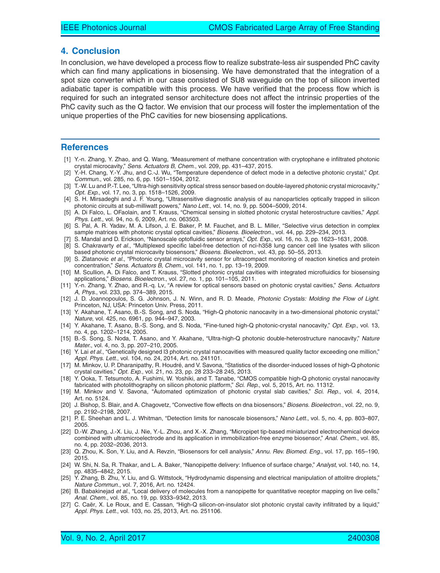#### **4. Conclusion**

In conclusion, we have developed a process flow to realize substrate-less air suspended PhC cavity which can find many applications in biosensing. We have demonstrated that the integration of a spot size converter which in our case consisted of SU8 waveguide on the top of silicon inverted adiabatic taper is compatible with this process. We have verified that the process flow which is required for such an integrated sensor architecture does not affect the intrinsic properties of the PhC cavity such as the Q factor. We envision that our process will foster the implementation of the unique properties of the PhC cavities for new biosensing applications.

#### **References**

- [1] Y.-n. Zhang, Y. Zhao, and Q. Wang, "Measurement of methane concentration with cryptophane e infiltrated photonic crystal microcavity," *Sens. Actuators B, Chem.*, vol. 209, pp. 431–437, 2015.
- [2] Y.-H. Chang, Y.-Y. Jhu, and C.-J. Wu, "Temperature dependence of defect mode in a defective photonic crystal," *Opt. Commun.*, vol. 285, no. 6, pp. 1501–1504, 2012.
- [3] T.-W. Lu and P.-T. Lee, "Ultra-high sensitivity optical stress sensor based on double-layered photonic crystal microcavity," *Opt. Exp.*, vol. 17, no. 3, pp. 1518–1526, 2009.
- [4] S. H. Mirsadeghi and J. F. Young, "Ultrasensitive diagnostic analysis of au nanoparticles optically trapped in silicon photonic circuits at sub-milliwatt powers," *Nano Lett.*, vol. 14, no. 9, pp. 5004–5009, 2014.
- [5] A. Di Falco, L. OFaolain, and T. Krauss, "Chemical sensing in slotted photonic crystal heterostructure cavities," *Appl. Phys. Lett.*, vol. 94, no. 6, 2009, Art. no. 063503.
- [6] S. Pal, A. R. Yadav, M. A. Lifson, J. E. Baker, P. M. Fauchet, and B. L. Miller, "Selective virus detection in complex sample matrices with photonic crystal optical cavities," *Biosens. Bioelectron.*, vol. 44, pp. 229–234, 2013.
- [7] S. Mandal and D. Erickson, "Nanoscale optofluidic sensor arrays," *Opt. Exp.*, vol. 16, no. 3, pp. 1623–1631, 2008.
- [8] S. Chakravarty *et al.*, "Multiplexed specific label-free detection of nci-h358 lung cancer cell line lysates with silicon based photonic crystal microcavity biosensors," *Biosens. Bioelectron.*, vol. 43, pp. 50–55, 2013.
- [9] S. Zlatanovic *et al.*, "Photonic crystal microcavity sensor for ultracompact monitoring of reaction kinetics and protein concentration," *Sens. Actuators B, Chem.*, vol. 141, no. 1, pp. 13–19, 2009.
- [10] M. Scullion, A. Di Falco, and T. Krauss, "Slotted photonic crystal cavities with integrated microfluidics for biosensing applications," *Biosens. Bioelectron.*, vol. 27, no. 1, pp. 101–105, 2011.
- [11] Y.-n. Zhang, Y. Zhao, and R.-q. Lv, "A review for optical sensors based on photonic crystal cavities," *Sens. Actuators A, Phys.*, vol. 233, pp. 374–389, 2015.
- [12] J. D. Joannopoulos, S. G. Johnson, J. N. Winn, and R. D. Meade, *Photonic Crystals: Molding the Flow of Light*. Princeton, NJ, USA: Princeton Univ. Press, 2011.
- [13] Y. Akahane, T. Asano, B.-S. Song, and S. Noda, "High-Q photonic nanocavity in a two-dimensional photonic crystal," *Nature*, vol. 425, no. 6961, pp. 944–947, 2003.
- [14] Y. Akahane, T. Asano, B.-S. Song, and S. Noda, "Fine-tuned high-Q photonic-crystal nanocavity," *Opt. Exp.*, vol. 13, no. 4, pp. 1202–1214, 2005.
- [15] B.-S. Song, S. Noda, T. Asano, and Y. Akahane, "Ultra-high-Q photonic double-heterostructure nanocavity," *Nature Mater.*, vol. 4, no. 3, pp. 207–210, 2005.
- [16] Y. Lai *et al.*, "Genetically designed l3 photonic crystal nanocavities with measured quality factor exceeding one million," *Appl. Phys. Lett.*, vol. 104, no. 24, 2014, Art. no. 241101.
- [17] M. Minkov, U. P. Dharanipathy, R. Houdré, and V. Savona, "Statistics of the disorder-induced losses of high-Q photonic crystal cavities," *Opt. Exp.*, vol. 21, no. 23, pp. 28 233–28 245, 2013.
- [18] Y. Ooka, T. Tetsumoto, A. Fushimi, W. Yoshiki, and T. Tanabe, "CMOS compatible high-Q photonic crystal nanocavity fabricated with photolithography on silicon photonic platform," *Sci. Rep.*, vol. 5, 2015, Art. no. 11312.
- [19] M. Minkov and V. Savona, "Automated optimization of photonic crystal slab cavities," *Sci. Rep.*, vol. 4, 2014, Art. no. 5124.
- [20] J. Bishop, S. Blair, and A. Chagovetz, "Convective flow effects on dna biosensors," *Biosens. Bioelectron.*, vol. 22, no. 9, pp. 2192–2198, 2007.
- [21] P. E. Sheehan and L. J. Whitman, "Detection limits for nanoscale biosensors," *Nano Lett.*, vol. 5, no. 4, pp. 803–807, 2005.
- [22] D.-W. Zhang, J.-X. Liu, J. Nie, Y.-L. Zhou, and X.-X. Zhang, "Micropipet tip-based miniaturized electrochemical device combined with ultramicroelectrode and its application in immobilization-free enzyme biosensor," *Anal. Chem.*, vol. 85, no. 4, pp. 2032–2036, 2013.
- [23] Q. Zhou, K. Son, Y. Liu, and A. Revzin, "Biosensors for cell analysis," *Annu. Rev. Biomed. Eng.*, vol. 17, pp. 165–190, 2015.
- [24] W. Shi, N. Sa, R. Thakar, and L. A. Baker, "Nanopipette delivery: Influence of surface charge," *Analyst*, vol. 140, no. 14, pp. 4835–4842, 2015.
- [25] Y. Zhang, B. Zhu, Y. Liu, and G. Wittstock, "Hydrodynamic dispensing and electrical manipulation of attolitre droplets," *Nature Commun.*, vol. 7, 2016, Art. no. 12424.
- [26] B. Babakinejad *et al.*, "Local delivery of molecules from a nanopipette for quantitative receptor mapping on live cells," *Anal. Chem.*, vol. 85, no. 19, pp. 9333–9342, 2013.
- [27] C. Caer, X. Le Roux, and E. Cassan, "High-Q silicon-on-insulator slot photonic crystal cavity infiltrated by a liquid," ¨ *Appl. Phys. Lett.*, vol. 103, no. 25, 2013, Art. no. 251106.